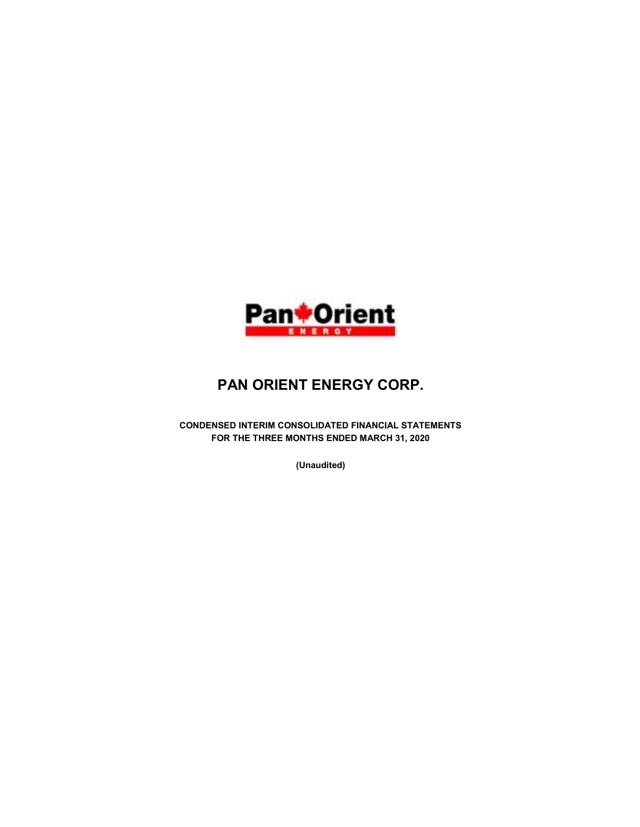

# PAN ORIENT ENERGY CORP.

CONDENSED INTERIM CONSOLIDATED FINANCIAL STATEMENTS FOR THE THREE MONTHS ENDED MARCH 31, 2020

(Unaudited)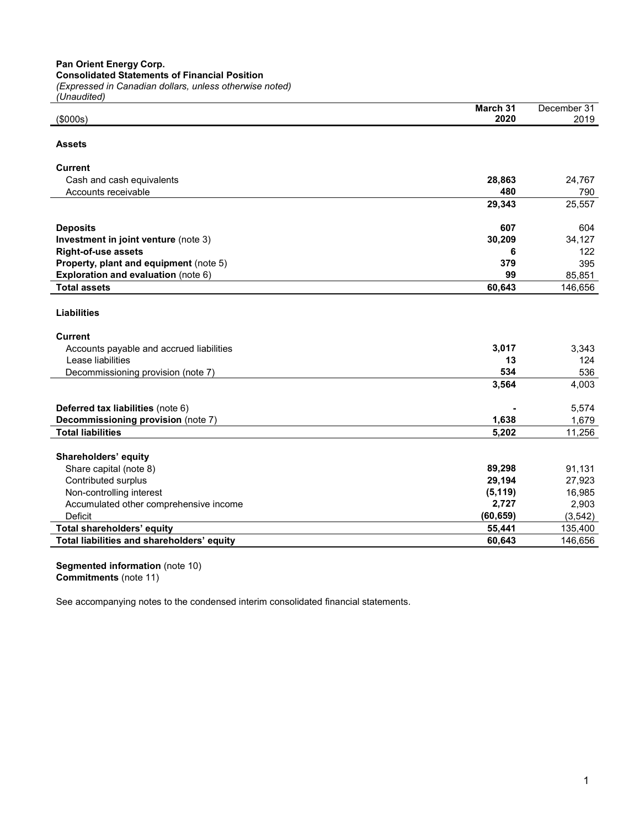Pan Orient Energy Corp.

Consolidated Statements of Financial Position

(Expressed in Canadian dollars, unless otherwise noted)

| (Unaudited)                                              |           |                    |
|----------------------------------------------------------|-----------|--------------------|
|                                                          | March 31  | December 31        |
| (\$000s)                                                 | 2020      | 2019               |
| <b>Assets</b>                                            |           |                    |
|                                                          |           |                    |
| <b>Current</b>                                           |           |                    |
| Cash and cash equivalents                                | 28,863    | 24,767             |
| Accounts receivable                                      | 480       | 790                |
|                                                          | 29,343    | 25,557             |
| <b>Deposits</b>                                          | 607       | 604                |
| Investment in joint venture (note 3)                     | 30,209    | 34,127             |
| <b>Right-of-use assets</b>                               | 6         | 122                |
| Property, plant and equipment (note 5)                   | 379       | 395                |
| Exploration and evaluation (note 6)                      | 99        | 85,851             |
| <b>Total assets</b>                                      | 60,643    | 146,656            |
|                                                          |           |                    |
| <b>Liabilities</b>                                       |           |                    |
| <b>Current</b>                                           |           |                    |
| Accounts payable and accrued liabilities                 | 3,017     | 3,343              |
| Lease liabilities                                        | 13        | 124                |
| Decommissioning provision (note 7)                       | 534       | 536                |
|                                                          | 3,564     | 4,003              |
| Deferred tax liabilities (note 6)                        |           | 5,574              |
| Decommissioning provision (note 7)                       | 1,638     | 1,679              |
| <b>Total liabilities</b>                                 | 5,202     | 11,256             |
|                                                          |           |                    |
| Shareholders' equity                                     |           |                    |
| Share capital (note 8)                                   | 89,298    | 91,131             |
| Contributed surplus                                      | 29,194    | 27,923             |
| Non-controlling interest                                 | (5, 119)  | 16,985             |
| Accumulated other comprehensive income<br><b>Deficit</b> | 2,727     | 2,903              |
|                                                          | (60, 659) | (3, 542)           |
| Total shareholders' equity                               | 55,441    | 135,400<br>146,656 |
| Total liabilities and shareholders' equity               | 60,643    |                    |

Segmented information (note 10) Commitments (note 11)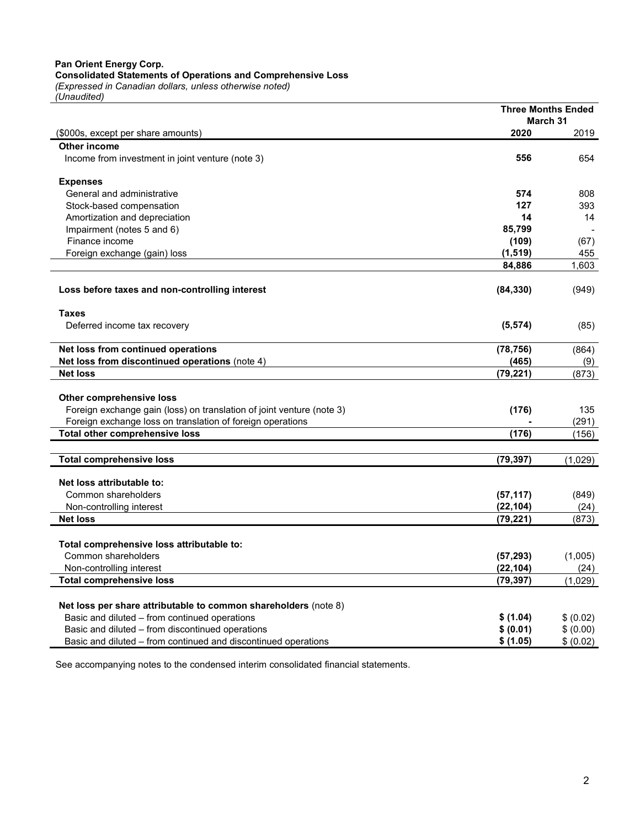## Pan Orient Energy Corp. Consolidated Statements of Operations and Comprehensive Loss

(Expressed in Canadian dollars, unless otherwise noted) (Unaudited)

|                                                                       |           | <b>Three Months Ended</b> |
|-----------------------------------------------------------------------|-----------|---------------------------|
|                                                                       |           | March 31                  |
| (\$000s, except per share amounts)                                    | 2020      | 2019                      |
| <b>Other income</b>                                                   |           |                           |
| Income from investment in joint venture (note 3)                      | 556       | 654                       |
| <b>Expenses</b>                                                       |           |                           |
| General and administrative                                            | 574       | 808                       |
| Stock-based compensation                                              | 127       | 393                       |
| Amortization and depreciation                                         | 14        | 14                        |
| Impairment (notes 5 and 6)                                            | 85,799    |                           |
| Finance income                                                        | (109)     | (67)                      |
| Foreign exchange (gain) loss                                          | (1, 519)  | 455                       |
|                                                                       | 84,886    | 1,603                     |
| Loss before taxes and non-controlling interest                        | (84, 330) | (949)                     |
| Taxes                                                                 |           |                           |
| Deferred income tax recovery                                          | (5, 574)  | (85)                      |
| Net loss from continued operations                                    | (78, 756) | (864)                     |
| Net loss from discontinued operations (note 4)                        | (465)     | (9)                       |
| <b>Net loss</b>                                                       | (79, 221) | (873)                     |
| <b>Other comprehensive loss</b>                                       |           |                           |
| Foreign exchange gain (loss) on translation of joint venture (note 3) | (176)     | 135                       |
| Foreign exchange loss on translation of foreign operations            |           | (291)                     |
| Total other comprehensive loss                                        | (176)     | (156)                     |
| <b>Total comprehensive loss</b>                                       | (79, 397) | (1,029)                   |
|                                                                       |           |                           |
| Net loss attributable to:                                             |           |                           |
| Common shareholders                                                   | (57, 117) | (849)                     |
| Non-controlling interest                                              | (22, 104) | (24)                      |
| <b>Net loss</b>                                                       | (79, 221) | (873)                     |
| Total comprehensive loss attributable to:                             |           |                           |
| Common shareholders                                                   | (57, 293) | (1,005)                   |
| Non-controlling interest                                              | (22.104)  | (24)                      |
| <b>Total comprehensive loss</b>                                       | (79, 397) | (1,029)                   |
| Net loss per share attributable to common shareholders (note 8)       |           |                           |
| Basic and diluted - from continued operations                         | \$ (1.04) | \$ (0.02)                 |
| Basic and diluted - from discontinued operations                      | \$ (0.01) | \$ (0.00)                 |
| Basic and diluted - from continued and discontinued operations        | \$ (1.05) | \$ (0.02)                 |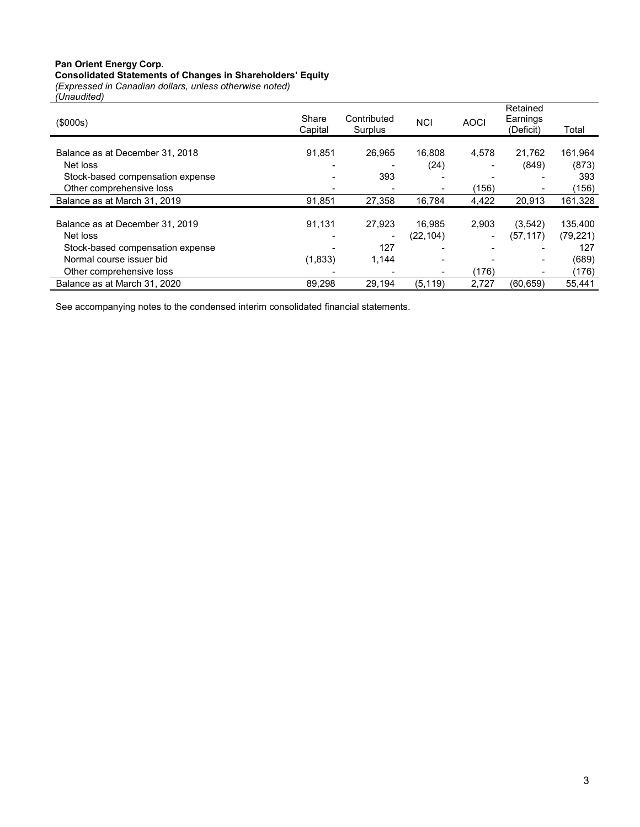# Pan Orient Energy Corp. Consolidated Statements of Changes in Shareholders' Equity

(Expressed in Canadian dollars, unless otherwise noted) (Unaudited)

| 1<br>(\$000s)                    | Share<br>Capital | Contributed<br>Surplus | <b>NCI</b>     | <b>AOCI</b>    | Retained<br>Earnings<br>(Deficit) | Total     |
|----------------------------------|------------------|------------------------|----------------|----------------|-----------------------------------|-----------|
| Balance as at December 31, 2018  | 91.851           | 26.965                 | 16.808         | 4,578          | 21,762                            | 161,964   |
| Net loss                         |                  |                        | (24)           |                | (849)                             | (873)     |
| Stock-based compensation expense |                  | 393                    |                |                | $\overline{\phantom{0}}$          | 393       |
| Other comprehensive loss         |                  |                        |                | (156)          |                                   | (156)     |
| Balance as at March 31, 2019     | 91,851           | 27,358                 | 16,784         | 4,422          | 20,913                            | 161,328   |
| Balance as at December 31, 2019  | 91.131           | 27.923                 | 16.985         | 2,903          | (3,542)                           | 135.400   |
| Net loss                         |                  |                        | (22, 104)      | $\blacksquare$ | (57, 117)                         | (79, 221) |
| Stock-based compensation expense |                  | 127                    |                |                |                                   | 127       |
| Normal course issuer bid         | (1,833)          | 1,144                  | $\blacksquare$ |                | $\overline{\phantom{a}}$          | (689)     |
| Other comprehensive loss         |                  |                        | $\blacksquare$ | (176)          | $\overline{\phantom{a}}$          | (176)     |
| Balance as at March 31, 2020     | 89,298           | 29.194                 | (5, 119)       | 2,727          | (60, 659)                         | 55.441    |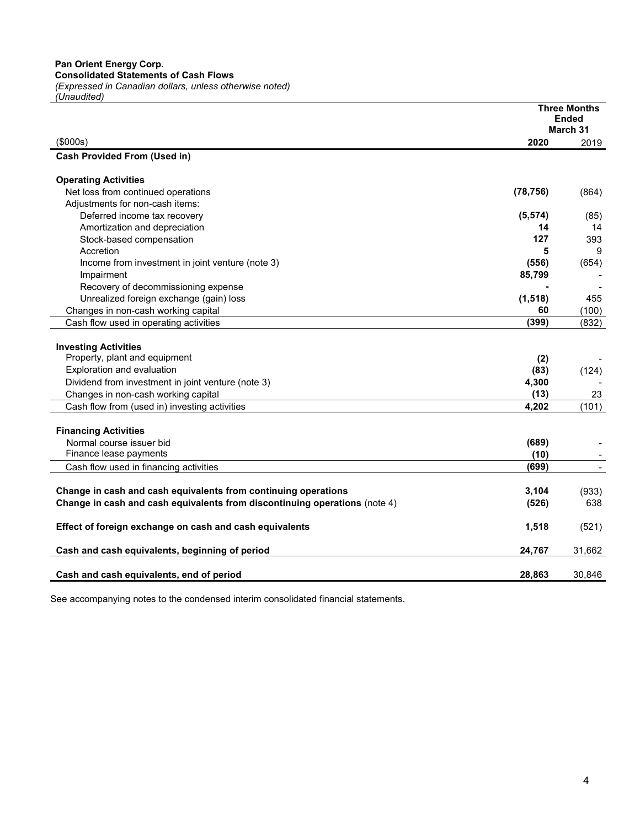|                                                                            |           | <b>Three Months</b><br>Ended |
|----------------------------------------------------------------------------|-----------|------------------------------|
|                                                                            |           | March 31                     |
| (\$000s)                                                                   | 2020      | 2019                         |
| <b>Cash Provided From (Used in)</b>                                        |           |                              |
|                                                                            |           |                              |
| <b>Operating Activities</b>                                                |           |                              |
| Net loss from continued operations                                         | (78, 756) | (864)                        |
| Adjustments for non-cash items:                                            |           |                              |
| Deferred income tax recovery                                               | (5, 574)  | (85)                         |
| Amortization and depreciation                                              | 14        | 14                           |
| Stock-based compensation                                                   | 127       | 393                          |
| Accretion                                                                  | 5         | 9                            |
| Income from investment in joint venture (note 3)                           | (556)     | (654)                        |
| Impairment                                                                 | 85,799    |                              |
| Recovery of decommissioning expense                                        |           |                              |
| Unrealized foreign exchange (gain) loss                                    | (1, 518)  | 455                          |
| Changes in non-cash working capital                                        | 60        | (100)                        |
| Cash flow used in operating activities                                     | (399)     | (832)                        |
|                                                                            |           |                              |
| <b>Investing Activities</b>                                                |           |                              |
| Property, plant and equipment                                              | (2)       |                              |
| Exploration and evaluation                                                 | (83)      | (124)                        |
| Dividend from investment in joint venture (note 3)                         | 4,300     |                              |
| Changes in non-cash working capital                                        | (13)      | 23                           |
| Cash flow from (used in) investing activities                              | 4.202     | (101)                        |
|                                                                            |           |                              |
| <b>Financing Activities</b>                                                |           |                              |
| Normal course issuer bid                                                   | (689)     |                              |
| Finance lease payments                                                     | (10)      |                              |
| Cash flow used in financing activities                                     | (699)     | $\overline{\phantom{a}}$     |
|                                                                            |           |                              |
| Change in cash and cash equivalents from continuing operations             | 3,104     | (933)                        |
| Change in cash and cash equivalents from discontinuing operations (note 4) | (526)     | 638                          |
| Effect of foreign exchange on cash and cash equivalents                    | 1,518     |                              |
|                                                                            |           | (521)                        |
| Cash and cash equivalents, beginning of period                             | 24,767    | 31,662                       |
|                                                                            |           |                              |
| Cash and cash equivalents, end of period                                   | 28,863    | 30,846                       |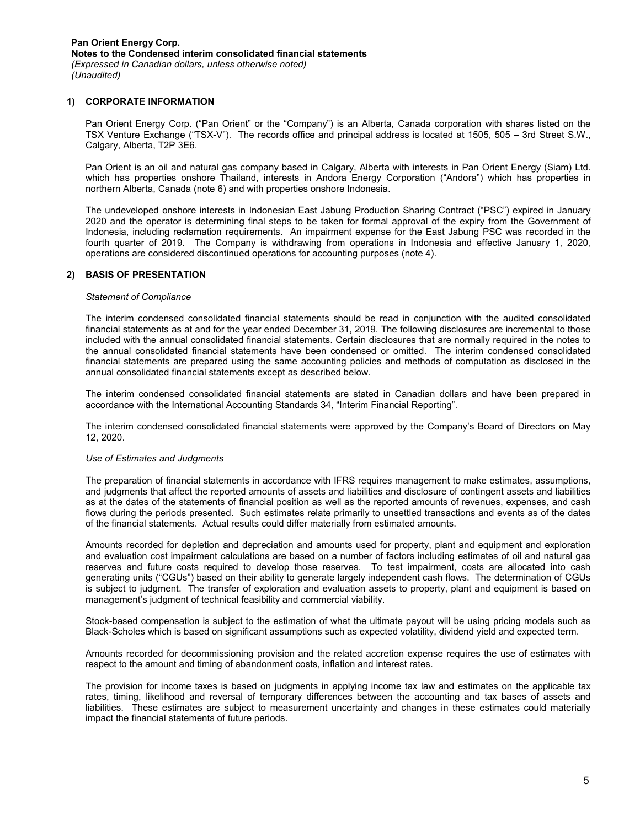#### 1) CORPORATE INFORMATION

Pan Orient Energy Corp. ("Pan Orient" or the "Company") is an Alberta, Canada corporation with shares listed on the TSX Venture Exchange ("TSX-V"). The records office and principal address is located at 1505, 505 – 3rd Street S.W., Calgary, Alberta, T2P 3E6.

Pan Orient is an oil and natural gas company based in Calgary, Alberta with interests in Pan Orient Energy (Siam) Ltd. which has properties onshore Thailand, interests in Andora Energy Corporation ("Andora") which has properties in northern Alberta, Canada (note 6) and with properties onshore Indonesia.

The undeveloped onshore interests in Indonesian East Jabung Production Sharing Contract ("PSC") expired in January 2020 and the operator is determining final steps to be taken for formal approval of the expiry from the Government of Indonesia, including reclamation requirements. An impairment expense for the East Jabung PSC was recorded in the fourth quarter of 2019. The Company is withdrawing from operations in Indonesia and effective January 1, 2020, operations are considered discontinued operations for accounting purposes (note 4).

## 2) BASIS OF PRESENTATION

#### Statement of Compliance

The interim condensed consolidated financial statements should be read in conjunction with the audited consolidated financial statements as at and for the year ended December 31, 2019. The following disclosures are incremental to those included with the annual consolidated financial statements. Certain disclosures that are normally required in the notes to the annual consolidated financial statements have been condensed or omitted. The interim condensed consolidated financial statements are prepared using the same accounting policies and methods of computation as disclosed in the annual consolidated financial statements except as described below.

The interim condensed consolidated financial statements are stated in Canadian dollars and have been prepared in accordance with the International Accounting Standards 34, "Interim Financial Reporting".

The interim condensed consolidated financial statements were approved by the Company's Board of Directors on May 12, 2020.

#### Use of Estimates and Judgments

The preparation of financial statements in accordance with IFRS requires management to make estimates, assumptions, and judgments that affect the reported amounts of assets and liabilities and disclosure of contingent assets and liabilities as at the dates of the statements of financial position as well as the reported amounts of revenues, expenses, and cash flows during the periods presented. Such estimates relate primarily to unsettled transactions and events as of the dates of the financial statements. Actual results could differ materially from estimated amounts.

Amounts recorded for depletion and depreciation and amounts used for property, plant and equipment and exploration and evaluation cost impairment calculations are based on a number of factors including estimates of oil and natural gas reserves and future costs required to develop those reserves. To test impairment, costs are allocated into cash generating units ("CGUs") based on their ability to generate largely independent cash flows. The determination of CGUs is subject to judgment. The transfer of exploration and evaluation assets to property, plant and equipment is based on management's judgment of technical feasibility and commercial viability.

Stock-based compensation is subject to the estimation of what the ultimate payout will be using pricing models such as Black-Scholes which is based on significant assumptions such as expected volatility, dividend yield and expected term.

Amounts recorded for decommissioning provision and the related accretion expense requires the use of estimates with respect to the amount and timing of abandonment costs, inflation and interest rates.

The provision for income taxes is based on judgments in applying income tax law and estimates on the applicable tax rates, timing, likelihood and reversal of temporary differences between the accounting and tax bases of assets and liabilities. These estimates are subject to measurement uncertainty and changes in these estimates could materially impact the financial statements of future periods.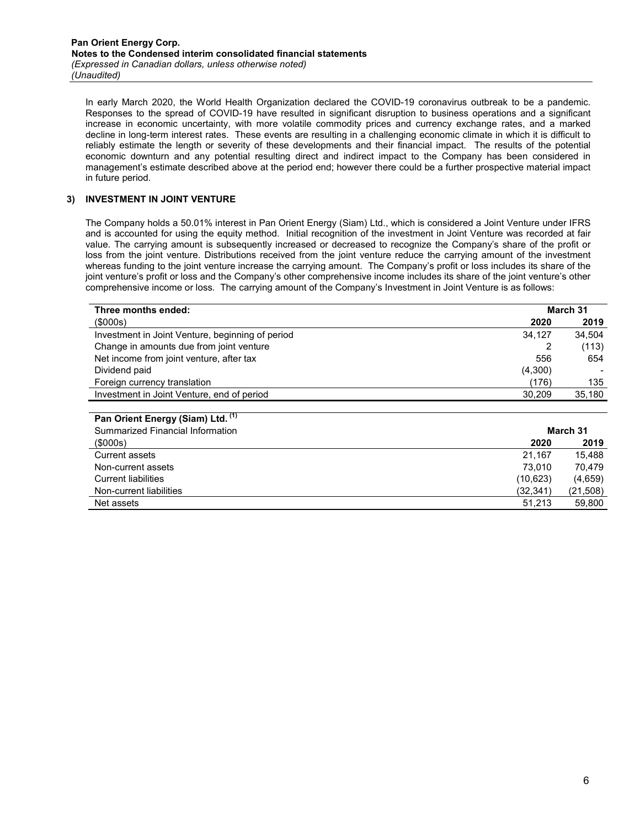In early March 2020, the World Health Organization declared the COVID-19 coronavirus outbreak to be a pandemic. Responses to the spread of COVID-19 have resulted in significant disruption to business operations and a significant increase in economic uncertainty, with more volatile commodity prices and currency exchange rates, and a marked decline in long-term interest rates. These events are resulting in a challenging economic climate in which it is difficult to reliably estimate the length or severity of these developments and their financial impact. The results of the potential economic downturn and any potential resulting direct and indirect impact to the Company has been considered in management's estimate described above at the period end; however there could be a further prospective material impact in future period.

## 3) INVESTMENT IN JOINT VENTURE

The Company holds a 50.01% interest in Pan Orient Energy (Siam) Ltd., which is considered a Joint Venture under IFRS and is accounted for using the equity method. Initial recognition of the investment in Joint Venture was recorded at fair value. The carrying amount is subsequently increased or decreased to recognize the Company's share of the profit or loss from the joint venture. Distributions received from the joint venture reduce the carrying amount of the investment whereas funding to the joint venture increase the carrying amount. The Company's profit or loss includes its share of the joint venture's profit or loss and the Company's other comprehensive income includes its share of the joint venture's other comprehensive income or loss. The carrying amount of the Company's Investment in Joint Venture is as follows:

| Three months ended:                              |         | March 31 |
|--------------------------------------------------|---------|----------|
| $($ \$000s $)$                                   | 2020    | 2019     |
| Investment in Joint Venture, beginning of period | 34,127  | 34.504   |
| Change in amounts due from joint venture         |         | (113)    |
| Net income from joint venture, after tax         | 556     | 654      |
| Dividend paid                                    | (4,300) |          |
| Foreign currency translation                     | (176)   | 135      |
| Investment in Joint Venture, end of period       | 30,209  | 35,180   |
|                                                  |         |          |
| Pan Orient Energy (Siam) Ltd. (1)                |         |          |

| Summarized Financial Information |           | March 31 |
|----------------------------------|-----------|----------|
| (\$000s)                         | 2020      | 2019     |
| <b>Current assets</b>            | 21.167    | 15.488   |
| Non-current assets               | 73.010    | 70.479   |
| <b>Current liabilities</b>       | (10,623)  | (4,659)  |
| Non-current liabilities          | (32, 341) | (21,508) |
| Net assets                       | 51,213    | 59,800   |
|                                  |           |          |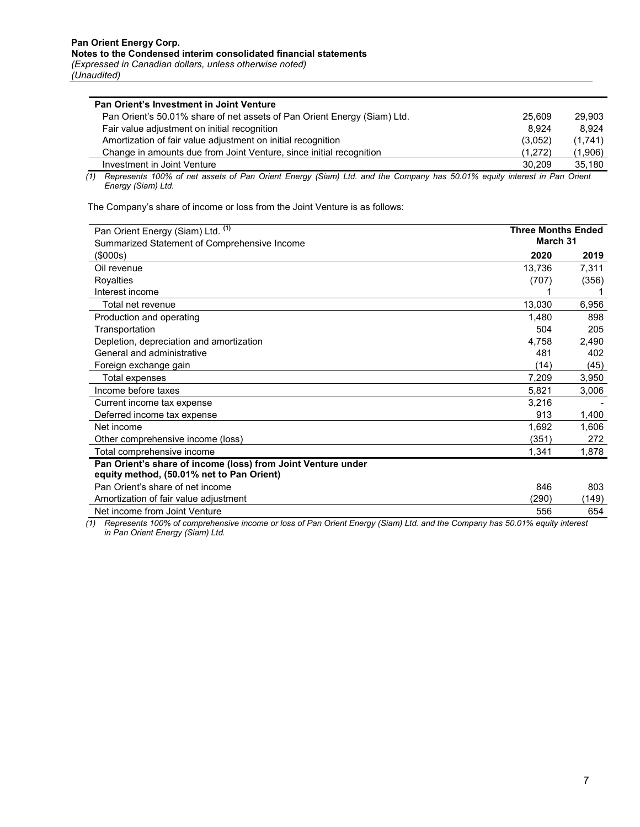| Pan Orient's 50.01% share of net assets of Pan Orient Energy (Siam) Ltd.<br>25.609<br>29.903<br>8.924<br>Fair value adjustment on initial recognition<br>8.924 |  |
|----------------------------------------------------------------------------------------------------------------------------------------------------------------|--|
|                                                                                                                                                                |  |
|                                                                                                                                                                |  |
| Amortization of fair value adjustment on initial recognition<br>(3.052)<br>(1,741)                                                                             |  |
| Change in amounts due from Joint Venture, since initial recognition<br>(1,906)<br>(1,272)                                                                      |  |
| Investment in Joint Venture<br>30.209<br>35.180                                                                                                                |  |

(1) Represents 100% of net assets of Pan Orient Energy (Siam) Ltd. and the Company has 50.01% equity interest in Pan Orient Energy (Siam) Ltd.

The Company's share of income or loss from the Joint Venture is as follows:

| Pan Orient Energy (Siam) Ltd. (1)<br>Summarized Statement of Comprehensive Income                         | <b>Three Months Ended</b><br>March 31 |       |
|-----------------------------------------------------------------------------------------------------------|---------------------------------------|-------|
| $($ \$000s $)$                                                                                            | 2020                                  | 2019  |
| Oil revenue                                                                                               | 13,736                                | 7,311 |
| Royalties                                                                                                 | (707)                                 | (356) |
| Interest income                                                                                           |                                       |       |
| Total net revenue                                                                                         | 13,030                                | 6,956 |
| Production and operating                                                                                  | 1,480                                 | 898   |
| Transportation                                                                                            | 504                                   | 205   |
| Depletion, depreciation and amortization                                                                  | 4,758                                 | 2,490 |
| General and administrative                                                                                | 481                                   | 402   |
| Foreign exchange gain                                                                                     | (14)                                  | (45)  |
| Total expenses                                                                                            | 7,209                                 | 3,950 |
| Income before taxes                                                                                       | 5,821                                 | 3,006 |
| Current income tax expense                                                                                | 3,216                                 |       |
| Deferred income tax expense                                                                               | 913                                   | 1,400 |
| Net income                                                                                                | 1,692                                 | 1,606 |
| Other comprehensive income (loss)                                                                         | (351)                                 | 272   |
| Total comprehensive income                                                                                | 1,341                                 | 1,878 |
| Pan Orient's share of income (loss) from Joint Venture under<br>equity method, (50.01% net to Pan Orient) |                                       |       |
| Pan Orient's share of net income                                                                          | 846                                   | 803   |
| Amortization of fair value adjustment                                                                     | (290)                                 | 149)  |
| Net income from Joint Venture                                                                             | 556                                   | 654   |

(1) Represents 100% of comprehensive income or loss of Pan Orient Energy (Siam) Ltd. and the Company has 50.01% equity interest in Pan Orient Energy (Siam) Ltd.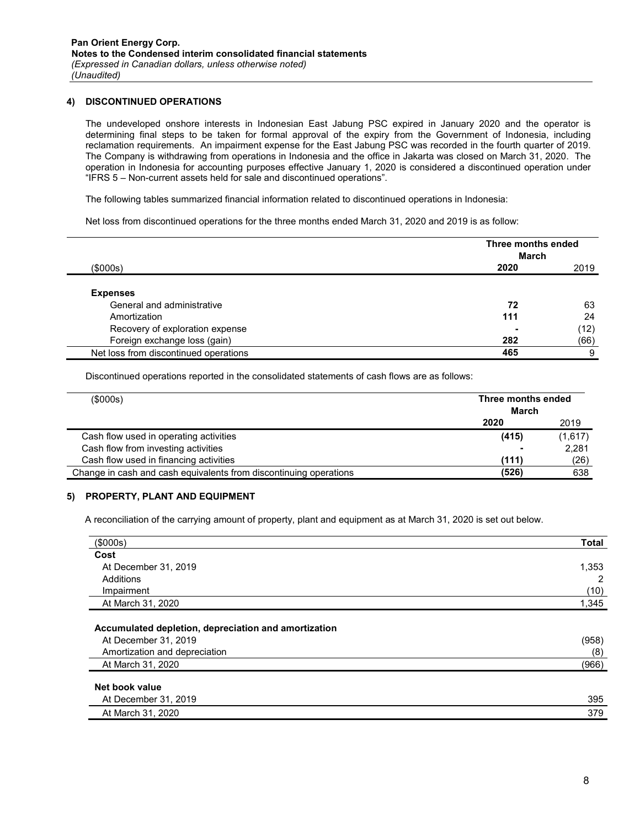## 4) DISCONTINUED OPERATIONS

The undeveloped onshore interests in Indonesian East Jabung PSC expired in January 2020 and the operator is determining final steps to be taken for formal approval of the expiry from the Government of Indonesia, including reclamation requirements. An impairment expense for the East Jabung PSC was recorded in the fourth quarter of 2019. The Company is withdrawing from operations in Indonesia and the office in Jakarta was closed on March 31, 2020. The operation in Indonesia for accounting purposes effective January 1, 2020 is considered a discontinued operation under "IFRS 5 – Non-current assets held for sale and discontinued operations".

The following tables summarized financial information related to discontinued operations in Indonesia:

Net loss from discontinued operations for the three months ended March 31, 2020 and 2019 is as follow:

|                                               | Three months ended<br><b>March</b> |      |
|-----------------------------------------------|------------------------------------|------|
| (\$000s)                                      | 2020                               | 2019 |
| <b>Expenses</b><br>General and administrative | 72                                 | 63   |
| Amortization                                  | 111                                | 24   |
| Recovery of exploration expense               | ۰                                  | (12) |
| Foreign exchange loss (gain)                  | 282                                | (66) |
| Net loss from discontinued operations         | 465                                | 9    |

Discontinued operations reported in the consolidated statements of cash flows are as follows:

| (\$000s)                                                          | Three months ended<br>March |         |
|-------------------------------------------------------------------|-----------------------------|---------|
|                                                                   | 2020                        | 2019    |
| Cash flow used in operating activities                            | (415)                       | (1,617) |
| Cash flow from investing activities                               | ۰                           | 2,281   |
| Cash flow used in financing activities                            | (111)                       | (26)    |
| Change in cash and cash equivalents from discontinuing operations | (526)                       | 638     |

#### 5) PROPERTY, PLANT AND EQUIPMENT

 $\overline{\phantom{a}}$ 

ř.

A reconciliation of the carrying amount of property, plant and equipment as at March 31, 2020 is set out below.

| (\$000s)                                                                                                                           | <b>Total</b>          |
|------------------------------------------------------------------------------------------------------------------------------------|-----------------------|
| Cost                                                                                                                               |                       |
| At December 31, 2019                                                                                                               | 1,353                 |
| Additions                                                                                                                          | 2                     |
| Impairment                                                                                                                         | (10)                  |
| At March 31, 2020                                                                                                                  | 1,345                 |
| Accumulated depletion, depreciation and amortization<br>At December 31, 2019<br>Amortization and depreciation<br>At March 31, 2020 | (958)<br>(8)<br>(966) |
| Net book value<br>At December 31, 2019                                                                                             | 395                   |
| At March 31, 2020                                                                                                                  | 379                   |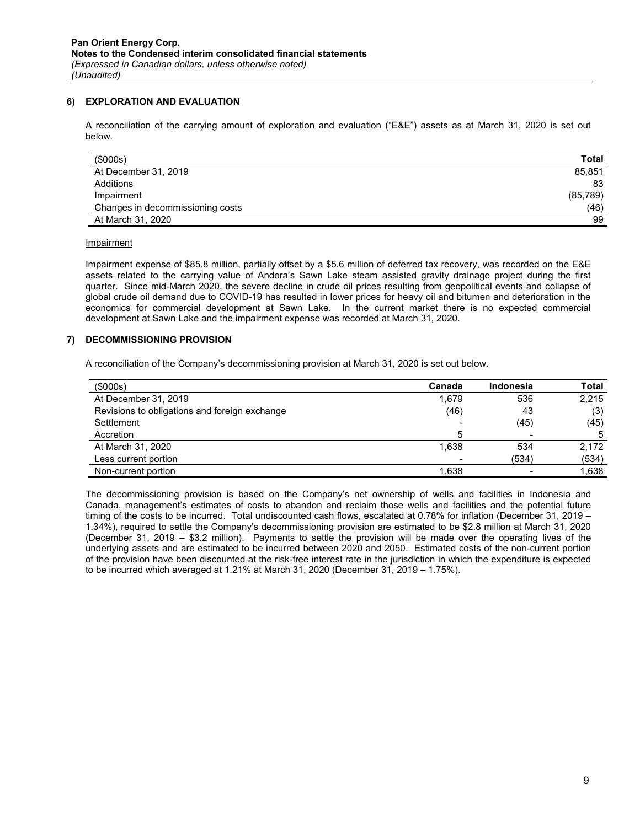## 6) EXPLORATION AND EVALUATION

A reconciliation of the carrying amount of exploration and evaluation ("E&E") assets as at March 31, 2020 is set out below.

| (\$000s)                         | <b>Total</b> |
|----------------------------------|--------------|
| At December 31, 2019             | 85,851       |
| Additions                        | 83           |
| Impairment                       | (85,789)     |
| Changes in decommissioning costs | (46)         |
| At March 31, 2020                | 99           |

#### Impairment

Impairment expense of \$85.8 million, partially offset by a \$5.6 million of deferred tax recovery, was recorded on the E&E assets related to the carrying value of Andora's Sawn Lake steam assisted gravity drainage project during the first quarter. Since mid-March 2020, the severe decline in crude oil prices resulting from geopolitical events and collapse of global crude oil demand due to COVID-19 has resulted in lower prices for heavy oil and bitumen and deterioration in the economics for commercial development at Sawn Lake. In the current market there is no expected commercial development at Sawn Lake and the impairment expense was recorded at March 31, 2020.

## 7) DECOMMISSIONING PROVISION

A reconciliation of the Company's decommissioning provision at March 31, 2020 is set out below.

| $($ \$000s $)$                                | Canada | Indonesia | <b>Total</b> |
|-----------------------------------------------|--------|-----------|--------------|
| At December 31, 2019                          | 1.679  | 536       | 2,215        |
| Revisions to obligations and foreign exchange | (46)   | 43        | (3)          |
| Settlement                                    |        | (45)      | (45)         |
| Accretion                                     | 5      |           | 5            |
| At March 31, 2020                             | 1.638  | 534       | 2,172        |
| Less current portion                          |        | (534)     | (534)        |
| Non-current portion                           | 1,638  |           | 1,638        |

The decommissioning provision is based on the Company's net ownership of wells and facilities in Indonesia and Canada, management's estimates of costs to abandon and reclaim those wells and facilities and the potential future timing of the costs to be incurred. Total undiscounted cash flows, escalated at 0.78% for inflation (December 31, 2019 – 1.34%), required to settle the Company's decommissioning provision are estimated to be \$2.8 million at March 31, 2020 (December 31, 2019 – \$3.2 million). Payments to settle the provision will be made over the operating lives of the underlying assets and are estimated to be incurred between 2020 and 2050. Estimated costs of the non-current portion of the provision have been discounted at the risk-free interest rate in the jurisdiction in which the expenditure is expected to be incurred which averaged at 1.21% at March 31, 2020 (December 31, 2019 – 1.75%).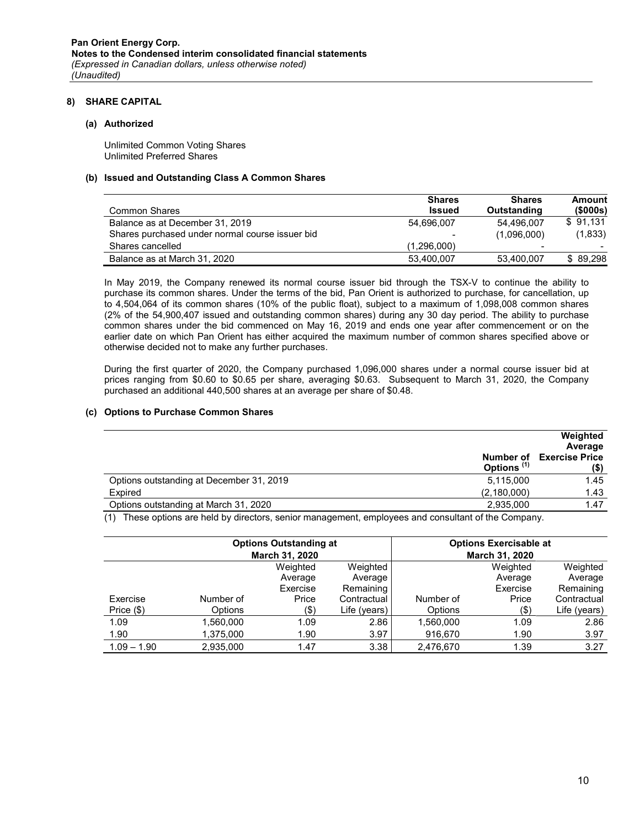#### 8) SHARE CAPITAL

#### (a) Authorized

Unlimited Common Voting Shares Unlimited Preferred Shares

#### (b) Issued and Outstanding Class A Common Shares

|                                                 | <b>Shares</b>            | <b>Shares</b> | Amount                   |
|-------------------------------------------------|--------------------------|---------------|--------------------------|
| Common Shares                                   | <b>Issued</b>            | Outstanding   | (\$000s)                 |
| Balance as at December 31, 2019                 | 54.696.007               | 54.496.007    | \$91.131                 |
| Shares purchased under normal course issuer bid | $\overline{\phantom{a}}$ | (1,096,000)   | (1,833)                  |
| Shares cancelled                                | (1.296.000)              |               | $\overline{\phantom{0}}$ |
| Balance as at March 31, 2020                    | 53,400,007               | 53,400,007    | \$89.298                 |

In May 2019, the Company renewed its normal course issuer bid through the TSX-V to continue the ability to purchase its common shares. Under the terms of the bid, Pan Orient is authorized to purchase, for cancellation, up to 4,504,064 of its common shares (10% of the public float), subject to a maximum of 1,098,008 common shares (2% of the 54,900,407 issued and outstanding common shares) during any 30 day period. The ability to purchase common shares under the bid commenced on May 16, 2019 and ends one year after commencement or on the earlier date on which Pan Orient has either acquired the maximum number of common shares specified above or otherwise decided not to make any further purchases.

During the first quarter of 2020, the Company purchased 1,096,000 shares under a normal course issuer bid at prices ranging from \$0.60 to \$0.65 per share, averaging \$0.63. Subsequent to March 31, 2020, the Company purchased an additional 440,500 shares at an average per share of \$0.48.

#### (c) Options to Purchase Common Shares

|                                                       | Weighted<br>Average                     |
|-------------------------------------------------------|-----------------------------------------|
| Options <sup>(1)</sup>                                | <b>Number of Exercise Price</b><br>(\$) |
| Options outstanding at December 31, 2019<br>5,115,000 | 1.45                                    |
| Expired<br>(2, 180, 000)                              | 1.43                                    |
| Options outstanding at March 31, 2020<br>2,935,000    | 1.47                                    |

(1) These options are held by directors, senior management, employees and consultant of the Company.

|               |           | <b>Options Outstanding at</b><br>March 31, 2020 |              |                | <b>Options Exercisable at</b><br>March 31, 2020 |              |
|---------------|-----------|-------------------------------------------------|--------------|----------------|-------------------------------------------------|--------------|
|               |           | Weighted                                        | Weighted     |                | Weighted                                        | Weighted     |
|               |           | Average                                         | Average      |                | Average                                         | Average      |
|               |           | Exercise                                        | Remaining    |                | Exercise                                        | Remaining    |
| Exercise      | Number of | Price                                           | Contractual  | Number of      | Price                                           | Contractual  |
| Price $(\$)$  | Options   | (\$)                                            | Life (years) | <b>Options</b> | $($ \$                                          | Life (years) |
| 1.09          | 1,560,000 | 1.09                                            | 2.86         | 1,560,000      | 1.09                                            | 2.86         |
| 1.90          | 1,375,000 | 1.90                                            | 3.97         | 916,670        | 1.90                                            | 3.97         |
| $1.09 - 1.90$ | 2,935,000 | 1.47                                            | 3.38         | 2,476,670      | 1.39                                            | 3.27         |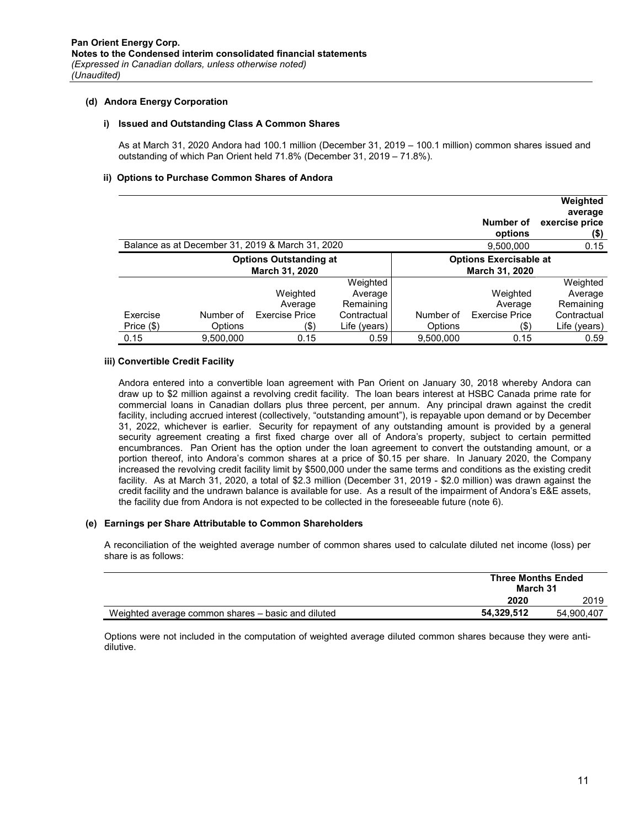#### (d) Andora Energy Corporation

#### i) Issued and Outstanding Class A Common Shares

As at March 31, 2020 Andora had 100.1 million (December 31, 2019 – 100.1 million) common shares issued and outstanding of which Pan Orient held 71.8% (December 31, 2019 – 71.8%).

#### ii) Options to Purchase Common Shares of Andora

|            |           |                                                  |                               |           | Number of<br>options  | Weighted<br>average<br>exercise price<br>(\$) |
|------------|-----------|--------------------------------------------------|-------------------------------|-----------|-----------------------|-----------------------------------------------|
|            |           | Balance as at December 31, 2019 & March 31, 2020 |                               |           | 9,500,000             | 0.15                                          |
|            |           | <b>Options Outstanding at</b>                    | <b>Options Exercisable at</b> |           |                       |                                               |
|            |           | March 31, 2020                                   |                               |           | March 31, 2020        |                                               |
|            |           |                                                  | Weighted                      |           |                       | Weighted                                      |
|            |           | Weighted                                         | Average                       |           | Weighted              | Average                                       |
|            |           | Average                                          | Remaining                     |           | Average               | Remaining                                     |
| Exercise   | Number of | <b>Fxercise Price</b>                            | Contractual                   | Number of | <b>Exercise Price</b> | Contractual                                   |
| Price (\$) | Options   | (\$)                                             | Life (years)                  | Options   | (\$)                  | Life (years)                                  |
| 0.15       | 9,500,000 | 0.15                                             | 0.59                          | 9,500,000 | 0.15                  | 0.59                                          |

#### iii) Convertible Credit Facility

Andora entered into a convertible loan agreement with Pan Orient on January 30, 2018 whereby Andora can draw up to \$2 million against a revolving credit facility. The loan bears interest at HSBC Canada prime rate for commercial loans in Canadian dollars plus three percent, per annum. Any principal drawn against the credit facility, including accrued interest (collectively, "outstanding amount"), is repayable upon demand or by December 31, 2022, whichever is earlier. Security for repayment of any outstanding amount is provided by a general security agreement creating a first fixed charge over all of Andora's property, subject to certain permitted encumbrances. Pan Orient has the option under the loan agreement to convert the outstanding amount, or a portion thereof, into Andora's common shares at a price of \$0.15 per share. In January 2020, the Company increased the revolving credit facility limit by \$500,000 under the same terms and conditions as the existing credit facility. As at March 31, 2020, a total of \$2.3 million (December 31, 2019 - \$2.0 million) was drawn against the credit facility and the undrawn balance is available for use. As a result of the impairment of Andora's E&E assets, the facility due from Andora is not expected to be collected in the foreseeable future (note 6).

#### (e) Earnings per Share Attributable to Common Shareholders

A reconciliation of the weighted average number of common shares used to calculate diluted net income (loss) per share is as follows:

|                                                    | <b>Three Months Ended</b><br>March 31 |            |
|----------------------------------------------------|---------------------------------------|------------|
|                                                    | 2020                                  | 2019       |
| Weighted average common shares – basic and diluted | 54.329.512                            | 54.900.407 |

Options were not included in the computation of weighted average diluted common shares because they were antidilutive.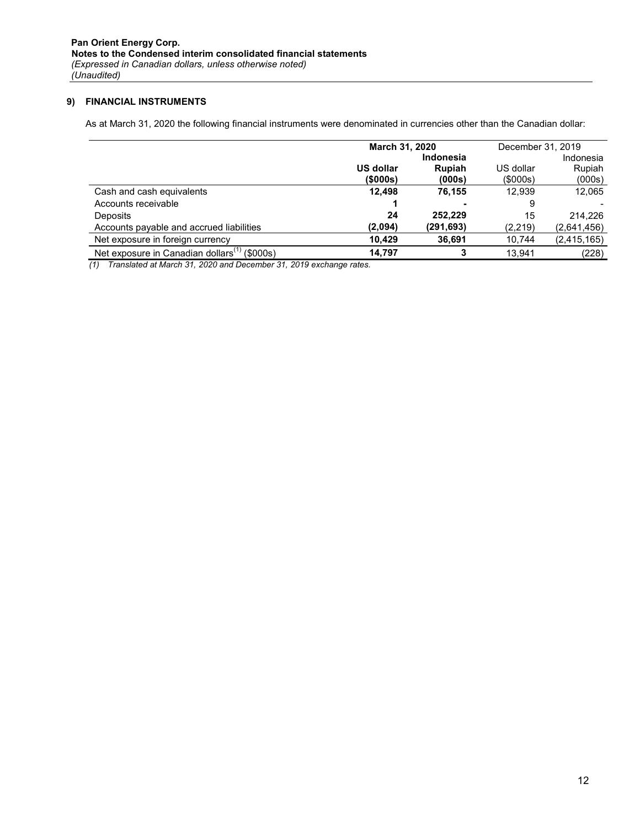# 9) FINANCIAL INSTRUMENTS

As at March 31, 2020 the following financial instruments were denominated in currencies other than the Canadian dollar:

|                                                          | March 31, 2020   |                  | December 31, 2019 |             |  |
|----------------------------------------------------------|------------------|------------------|-------------------|-------------|--|
|                                                          |                  | <b>Indonesia</b> |                   | Indonesia   |  |
|                                                          | <b>US dollar</b> | Rupiah           | US dollar         | Rupiah      |  |
|                                                          | (5000s)          | (000s)           | (\$000s)          | (000s)      |  |
| Cash and cash equivalents                                | 12.498           | 76.155           | 12.939            | 12,065      |  |
| Accounts receivable                                      |                  |                  | 9                 |             |  |
| Deposits                                                 | 24               | 252.229          | 15                | 214.226     |  |
| Accounts payable and accrued liabilities                 | (2,094)          | (291, 693)       | (2,219)           | (2,641,456) |  |
| Net exposure in foreign currency                         | 10.429           | 36,691           | 10,744            | (2,415,165) |  |
| Net exposure in Canadian dollars <sup>(1)</sup> (\$000s) | 14.797           | 3                | 13.941            | (228)       |  |

(1) Translated at March 31, 2020 and December 31, 2019 exchange rates.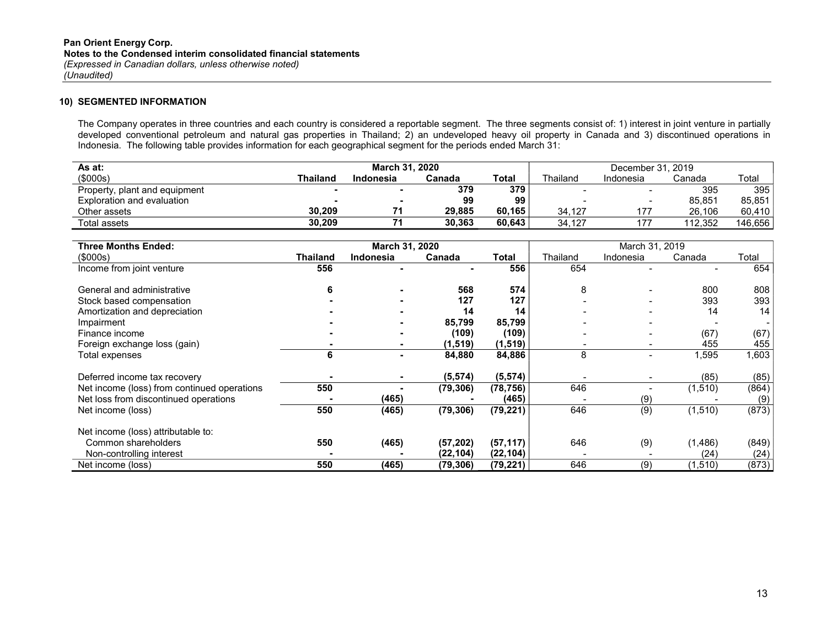#### 10) SEGMENTED INFORMATION

The Company operates in three countries and each country is considered a reportable segment. The three segments consist of: 1) interest in joint venture in partially developed conventional petroleum and natural gas properties in Thailand; 2) an undeveloped heavy oil property in Canada and 3) discontinued operations in Indonesia. The following table provides information for each geographical segment for the periods ended March 31:

| As at:                        |          | <b>March 31, 2020</b> |        |        |                          | December 31, 2019        |         |         |
|-------------------------------|----------|-----------------------|--------|--------|--------------------------|--------------------------|---------|---------|
| (\$000s)                      | Thailand | Indonesia             | Canada | Total  | Thailand                 | Indonesia                | Canada  | Total   |
| Property, plant and equipment |          |                       | 379    | 379    | $\overline{\phantom{0}}$ | $\overline{\phantom{0}}$ | 395     | 395     |
| Exploration and evaluation    |          |                       | 99     | 99     | $\overline{\phantom{0}}$ | $\overline{\phantom{0}}$ | 85.851  | 85,851  |
| Other assets                  | 30.209   |                       | 29.885 | 60.165 | 34.127                   | 177                      | 26.106  | 60.410  |
| Total assets                  | 30.209   |                       | 30.363 | 60.643 | 34.127                   |                          | 112.352 | 146,656 |

| <b>Three Months Ended:</b>                  |          | March 31, 2020   |           |           |          | March 31, 2019 |          |                |
|---------------------------------------------|----------|------------------|-----------|-----------|----------|----------------|----------|----------------|
| (\$000s)                                    | Thailand | <b>Indonesia</b> | Canada    | Total     | Thailand | Indonesia      | Canada   | Total          |
| Income from joint venture                   | 556      |                  |           | 556       | 654      |                |          | 654            |
| General and administrative                  |          |                  | 568       | 574       | 8        |                | 800      | 808            |
| Stock based compensation                    |          |                  | 127       | 127       |          |                | 393      | 393            |
| Amortization and depreciation               |          |                  | 14        | 14        |          |                | 14       | 14             |
| Impairment                                  |          |                  | 85,799    | 85,799    |          |                |          | $\blacksquare$ |
| Finance income                              |          |                  | (109)     | (109)     |          |                | (67)     | (67)           |
| Foreign exchange loss (gain)                |          |                  | (1, 519)  | (1, 519)  |          |                | 455      | 455            |
| Total expenses                              | 6        |                  | 84,880    | 84,886    | 8        |                | 1,595    | 1,603          |
| Deferred income tax recovery                |          |                  | (5, 574)  | (5, 574)  |          |                | (85)     | (85)           |
| Net income (loss) from continued operations | 550      |                  | (79, 306) | (78, 756) | 646      |                | (1, 510) | (864)          |
| Net loss from discontinued operations       |          | (465)            |           | (465)     |          | (9)            |          | (9)            |
| Net income (loss)                           | 550      | (465)            | (79, 306) | (79, 221) | 646      | (9)            | (1,510)  | (873)          |
| Net income (loss) attributable to:          |          |                  |           |           |          |                |          |                |
| Common shareholders                         | 550      | (465)            | (57, 202) | (57, 117) | 646      | (9)            | (1, 486) | (849)          |
| Non-controlling interest                    |          |                  | (22, 104) | (22, 104) |          |                | (24)     | (24)           |
| Net income (loss)                           | 550      | (465)            | (79, 306) | (79, 221) | 646      | (9)            | (1, 510) | (873)          |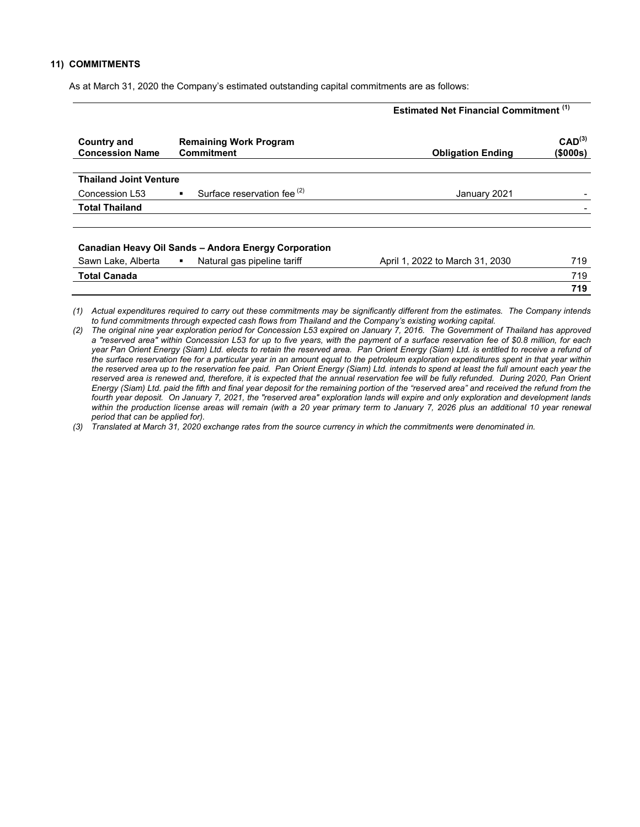#### 11) COMMITMENTS

As at March 31, 2020 the Company's estimated outstanding capital commitments are as follows:

|                                              |                                                          | <b>Estimated Net Financial Commitment (1)</b> |                                |  |  |
|----------------------------------------------|----------------------------------------------------------|-----------------------------------------------|--------------------------------|--|--|
| <b>Country and</b><br><b>Concession Name</b> | <b>Remaining Work Program</b><br><b>Commitment</b>       | <b>Obligation Ending</b>                      | CAD <sup>(3)</sup><br>(\$000s) |  |  |
| <b>Thailand Joint Venture</b>                |                                                          |                                               |                                |  |  |
| Concession L53                               | Surface reservation fee <sup>(2)</sup><br>$\blacksquare$ | January 2021                                  |                                |  |  |
| <b>Total Thailand</b>                        |                                                          |                                               |                                |  |  |
|                                              | Canadian Heavy Oil Sands - Andora Energy Corporation     |                                               |                                |  |  |
| Sawn Lake, Alberta                           | Natural gas pipeline tariff<br>$\blacksquare$            | April 1, 2022 to March 31, 2030               | 719                            |  |  |
| <b>Total Canada</b>                          |                                                          |                                               | 719                            |  |  |
|                                              |                                                          |                                               | 719                            |  |  |

(1) Actual expenditures required to carry out these commitments may be significantly different from the estimates. The Company intends to fund commitments through expected cash flows from Thailand and the Company's existing working capital.

(3) Translated at March 31, 2020 exchange rates from the source currency in which the commitments were denominated in.

<sup>(2)</sup> The original nine year exploration period for Concession L53 expired on January 7, 2016. The Government of Thailand has approved a "reserved area" within Concession L53 for up to five years, with the payment of a surface reservation fee of \$0.8 million, for each year Pan Orient Energy (Siam) Ltd. elects to retain the reserved area. Pan Orient Energy (Siam) Ltd. is entitled to receive a refund of the surface reservation fee for a particular year in an amount equal to the petroleum exploration expenditures spent in that year within the reserved area up to the reservation fee paid. Pan Orient Energy (Siam) Ltd. intends to spend at least the full amount each year the reserved area is renewed and, therefore, it is expected that the annual reservation fee will be fully refunded. During 2020, Pan Orient Energy (Siam) Ltd. paid the fifth and final year deposit for the remaining portion of the "reserved area" and received the refund from the fourth year deposit. On January 7, 2021, the "reserved area" exploration lands will expire and only exploration and development lands within the production license areas will remain (with a 20 year primary term to January 7, 2026 plus an additional 10 year renewal period that can be applied for).